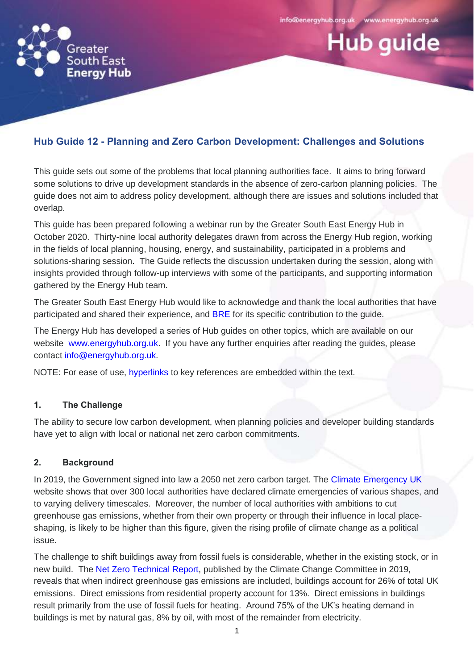**Hub quide** 



# **Hub Guide 12 - Planning and Zero Carbon Development: Challenges and Solutions**

This guide sets out some of the problems that local planning authorities face. It aims to bring forward some solutions to drive up development standards in the absence of zero-carbon planning policies. The guide does not aim to address policy development, although there are issues and solutions included that overlap.

This guide has been prepared following a webinar run by the Greater South East Energy Hub in October 2020. Thirty-nine local authority delegates drawn from across the Energy Hub region, working in the fields of local planning, housing, energy, and sustainability, participated in a problems and solutions-sharing session. The Guide reflects the discussion undertaken during the session, along with insights provided through follow-up interviews with some of the participants, and supporting information gathered by the Energy Hub team.

The Greater South East Energy Hub would like to acknowledge and thank the local authorities that have participated and shared their experience, and [BRE](https://www.bregroup.com/about-us) for its specific contribution to the guide.

The Energy Hub has developed a series of Hub guides on other topics, which are available on our website [www.energyhub.org.uk.](http://www.energyhub.org.uk/) If you have any further enquiries after reading the guides, please contact [info@energyhub.org.uk.](mailto:info@energyhub.org.uk)

NOTE: For ease of use, hyperlinks to key references are embedded within the text.

# **1. The Challenge**

The ability to secure low carbon development, when planning policies and developer building standards have yet to align with local or national net zero carbon commitments.

# **2. Background**

In 2019, the Government signed into law a 2050 net zero carbon target. The [Climate Emergency UK](https://www.climateemergency.uk/) website shows that over 300 local authorities have declared climate emergencies of various shapes, and to varying delivery timescales. Moreover, the number of local authorities with ambitions to cut greenhouse gas emissions, whether from their own property or through their influence in local placeshaping, is likely to be higher than this figure, given the rising profile of climate change as a political issue.

The challenge to shift buildings away from fossil fuels is considerable, whether in the existing stock, or in new build. The Net Zero [Technical Report,](https://www.theccc.org.uk/publication/net-zero-technical-report/) published by the Climate Change Committee in 2019, reveals that when indirect greenhouse gas emissions are included, buildings account for 26% of total UK emissions. Direct emissions from residential property account for 13%. Direct emissions in buildings result primarily from the use of fossil fuels for heating. Around 75% of the UK's heating demand in buildings is met by natural gas, 8% by oil, with most of the remainder from electricity.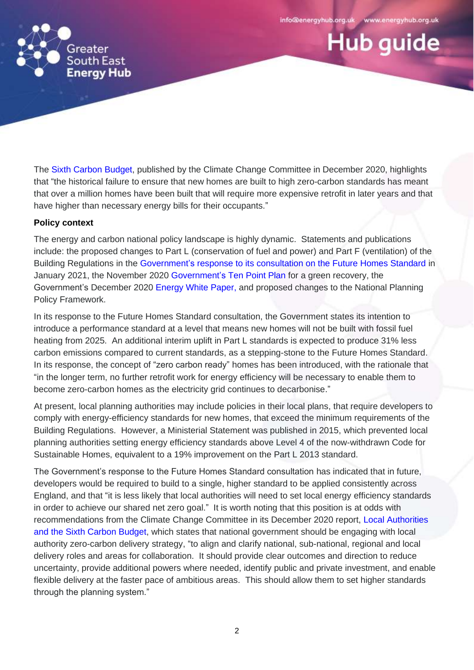**Hub quide** 



The [Sixth Carbon Budget,](https://www.theccc.org.uk/publication/sixth-carbon-budget/) published by the Climate Change Committee in December 2020, highlights that "the historical failure to ensure that new homes are built to high zero-carbon standards has meant that over a million homes have been built that will require more expensive retrofit in later years and that have higher than necessary energy bills for their occupants."

#### **Policy context**

The energy and carbon national policy landscape is highly dynamic. Statements and publications include: the proposed changes to Part L (conservation of fuel and power) and Part F (ventilation) of the Building Regulations in the Government's [response to its consultation on the Future Homes Standard](https://assets.publishing.service.gov.uk/government/uploads/system/uploads/attachment_data/file/956094/Government_response_to_Future_Homes_Standard_consultation.pdf) in January 2021, the November 2020 Government's [Ten Point Plan](https://assets.publishing.service.gov.uk/government/uploads/system/uploads/attachment_data/file/936567/10_POINT_PLAN_BOOKLET.pdf) for a green recovery, the Government's December 2020 [Energy White Paper,](https://assets.publishing.service.gov.uk/government/uploads/system/uploads/attachment_data/file/945899/201216_BEIS_EWP_Command_Paper_Accessible.pdf) and proposed changes to the National Planning Policy Framework.

In its response to the Future Homes Standard consultation, the Government states its intention to introduce a performance standard at a level that means new homes will not be built with fossil fuel heating from 2025. An additional interim uplift in Part L standards is expected to produce 31% less carbon emissions compared to current standards, as a stepping-stone to the Future Homes Standard. In its response, the concept of "zero carbon ready" homes has been introduced, with the rationale that "in the longer term, no further retrofit work for energy efficiency will be necessary to enable them to become zero-carbon homes as the electricity grid continues to decarbonise."

At present, local planning authorities may include policies in their local plans, that require developers to comply with energy-efficiency standards for new homes, that exceed the minimum requirements of the Building Regulations. However, a Ministerial Statement was published in 2015, which prevented local planning authorities setting energy efficiency standards above Level 4 of the now-withdrawn Code for Sustainable Homes, equivalent to a 19% improvement on the Part L 2013 standard.

The Government's response to the Future Homes Standard consultation has indicated that in future, developers would be required to build to a single, higher standard to be applied consistently across England, and that "it is less likely that local authorities will need to set local energy efficiency standards in order to achieve our shared net zero goal." It is worth noting that this position is at odds with recommendations from the Climate Change Committee in its December 2020 report, [Local Authorities](https://www.theccc.org.uk/publication/local-authorities-and-the-sixth-carbon-budget/)  and [the Sixth Carbon Budget,](https://www.theccc.org.uk/publication/local-authorities-and-the-sixth-carbon-budget/) which states that national government should be engaging with local authority zero-carbon delivery strategy, "to align and clarify national, sub-national, regional and local delivery roles and areas for collaboration. It should provide clear outcomes and direction to reduce uncertainty, provide additional powers where needed, identify public and private investment, and enable flexible delivery at the faster pace of ambitious areas. This should allow them to set higher standards through the planning system."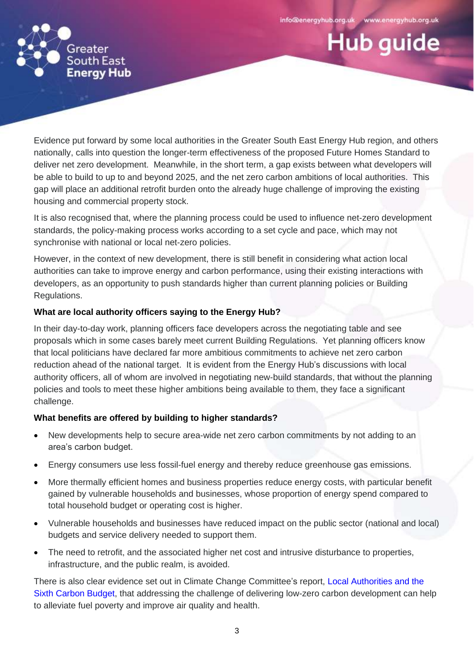**Hub quide** 



Evidence put forward by some local authorities in the Greater South East Energy Hub region, and others nationally, calls into question the longer-term effectiveness of the proposed Future Homes Standard to deliver net zero development. Meanwhile, in the short term, a gap exists between what developers will be able to build to up to and beyond 2025, and the net zero carbon ambitions of local authorities. This gap will place an additional retrofit burden onto the already huge challenge of improving the existing housing and commercial property stock.

It is also recognised that, where the planning process could be used to influence net-zero development standards, the policy-making process works according to a set cycle and pace, which may not synchronise with national or local net-zero policies.

However, in the context of new development, there is still benefit in considering what action local authorities can take to improve energy and carbon performance, using their existing interactions with developers, as an opportunity to push standards higher than current planning policies or Building Regulations.

# **What are local authority officers saying to the Energy Hub?**

In their day-to-day work, planning officers face developers across the negotiating table and see proposals which in some cases barely meet current Building Regulations. Yet planning officers know that local politicians have declared far more ambitious commitments to achieve net zero carbon reduction ahead of the national target. It is evident from the Energy Hub's discussions with local authority officers, all of whom are involved in negotiating new-build standards, that without the planning policies and tools to meet these higher ambitions being available to them, they face a significant challenge.

# **What benefits are offered by building to higher standards?**

- New developments help to secure area-wide net zero carbon commitments by not adding to an area's carbon budget.
- Energy consumers use less fossil-fuel energy and thereby reduce greenhouse gas emissions.
- More thermally efficient homes and business properties reduce energy costs, with particular benefit gained by vulnerable households and businesses, whose proportion of energy spend compared to total household budget or operating cost is higher.
- Vulnerable households and businesses have reduced impact on the public sector (national and local) budgets and service delivery needed to support them.
- The need to retrofit, and the associated higher net cost and intrusive disturbance to properties, infrastructure, and the public realm, is avoided.

There is also clear evidence set out in Climate Change Committee's report, [Local Authorities and the](https://www.theccc.org.uk/publication/local-authorities-and-the-sixth-carbon-budget/)  [Sixth Carbon Budget,](https://www.theccc.org.uk/publication/local-authorities-and-the-sixth-carbon-budget/) that addressing the challenge of delivering low-zero carbon development can help to alleviate fuel poverty and improve air quality and health.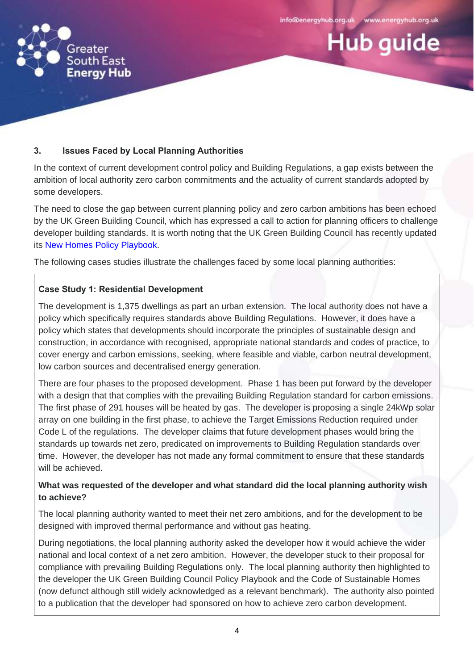**Hub quide** 



# **3. Issues Faced by Local Planning Authorities**

In the context of current development control policy and Building Regulations, a gap exists between the ambition of local authority zero carbon commitments and the actuality of current standards adopted by some developers.

The need to close the gap between current planning policy and zero carbon ambitions has been echoed by the UK Green Building Council, which has expressed a call to action for planning officers to challenge developer building standards. It is worth noting that the UK Green Building Council has recently updated its [New Homes Policy Playbook.](https://www.ukgbc.org/ukgbc-work/new-homes-policy-playbook/)

The following cases studies illustrate the challenges faced by some local planning authorities:

# **Case Study 1: Residential Development**

The development is 1,375 dwellings as part an urban extension. The local authority does not have a policy which specifically requires standards above Building Regulations. However, it does have a policy which states that developments should incorporate the principles of sustainable design and construction, in accordance with recognised, appropriate national standards and codes of practice, to cover energy and carbon emissions, seeking, where feasible and viable, carbon neutral development, low carbon sources and decentralised energy generation.

There are four phases to the proposed development. Phase 1 has been put forward by the developer with a design that that complies with the prevailing Building Regulation standard for carbon emissions. The first phase of 291 houses will be heated by gas. The developer is proposing a single 24kWp solar array on one building in the first phase, to achieve the Target Emissions Reduction required under Code L of the regulations. The developer claims that future development phases would bring the standards up towards net zero, predicated on improvements to Building Regulation standards over time. However, the developer has not made any formal commitment to ensure that these standards will be achieved.

# **What was requested of the developer and what standard did the local planning authority wish to achieve?**

The local planning authority wanted to meet their net zero ambitions, and for the development to be designed with improved thermal performance and without gas heating.

During negotiations, the local planning authority asked the developer how it would achieve the wider national and local context of a net zero ambition. However, the developer stuck to their proposal for compliance with prevailing Building Regulations only. The local planning authority then highlighted to the developer the UK Green Building Council Policy Playbook and the Code of Sustainable Homes (now defunct although still widely acknowledged as a relevant benchmark). The authority also pointed to a publication that the developer had sponsored on how to achieve zero carbon development.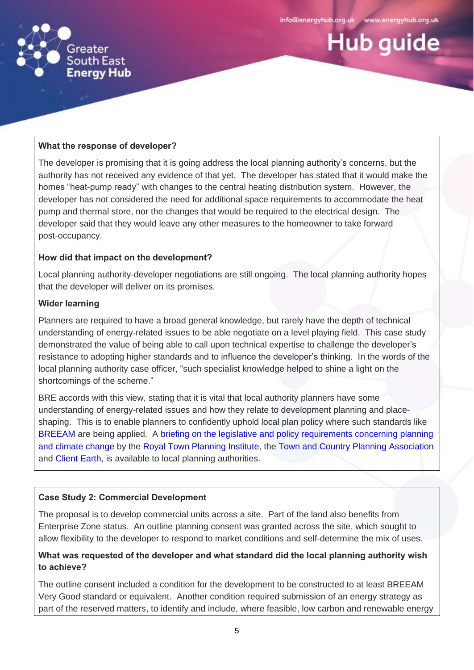

**Hub guide** 



# **What the response of developer?**

The developer is promising that it is going address the local planning authority's concerns, but the authority has not received any evidence of that yet. The developer has stated that it would make the homes "heat-pump ready" with changes to the central heating distribution system. However, the developer has not considered the need for additional space requirements to accommodate the heat pump and thermal store, nor the changes that would be required to the electrical design. The developer said that they would leave any other measures to the homeowner to take forward post-occupancy.

#### **How did that impact on the development?**

Local planning authority-developer negotiations are still ongoing. The local planning authority hopes that the developer will deliver on its promises.

#### **Wider learning**

Planners are required to have a broad general knowledge, but rarely have the depth of technical understanding of energy-related issues to be able negotiate on a level playing field. This case study demonstrated the value of being able to call upon technical expertise to challenge the developer's resistance to adopting higher standards and to influence the developer's thinking. In the words of the local planning authority case officer, "such specialist knowledge helped to shine a light on the shortcomings of the scheme."

BRE accords with this view, stating that it is vital that local authority planners have some understanding of energy-related issues and how they relate to development planning and placeshaping. This is to enable planners to confidently uphold local plan policy where such standards like [BREEAM](https://www.breeam.com/) are being applied. A [briefing on the legislative and policy requirements concerning planning](https://www.tcpa.org.uk/Handlers/Download.ashx?IDMF=4927d472-a9f0-4281-a6af-463ddc642201)  [and climate change](https://www.tcpa.org.uk/Handlers/Download.ashx?IDMF=4927d472-a9f0-4281-a6af-463ddc642201) by the [Royal Town Planning Institute,](https://www.rtpi.org.uk/) the [Town and Country Planning Association](https://www.tcpa.org.uk/) and [Client Earth,](https://www.clientearth.org/) is available to local planning authorities.

# **Case Study 2: Commercial Development**

The proposal is to develop commercial units across a site. Part of the land also benefits from Enterprise Zone status. An outline planning consent was granted across the site, which sought to allow flexibility to the developer to respond to market conditions and self-determine the mix of uses.

# **What was requested of the developer and what standard did the local planning authority wish to achieve?**

The outline consent included a condition for the development to be constructed to at least BREEAM Very Good standard or equivalent. Another condition required submission of an energy strategy as part of the reserved matters, to identify and include, where feasible, low carbon and renewable energy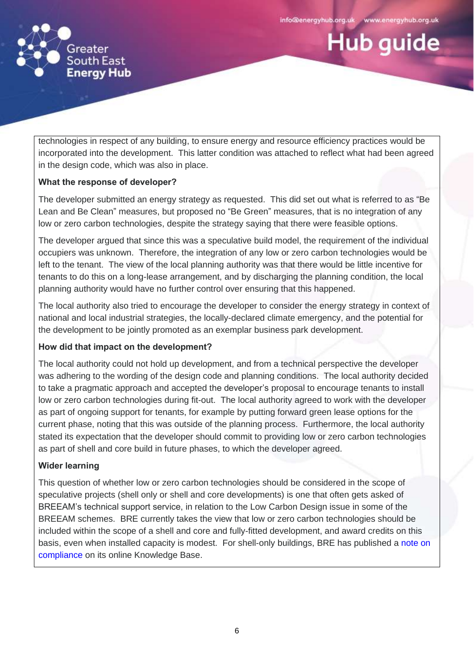**Hub quide** 



technologies in respect of any building, to ensure energy and resource efficiency practices would be incorporated into the development. This latter condition was attached to reflect what had been agreed in the design code, which was also in place.

# **What the response of developer?**

The developer submitted an energy strategy as requested. This did set out what is referred to as "Be Lean and Be Clean" measures, but proposed no "Be Green" measures, that is no integration of any low or zero carbon technologies, despite the strategy saying that there were feasible options.

The developer argued that since this was a speculative build model, the requirement of the individual occupiers was unknown. Therefore, the integration of any low or zero carbon technologies would be left to the tenant. The view of the local planning authority was that there would be little incentive for tenants to do this on a long-lease arrangement, and by discharging the planning condition, the local planning authority would have no further control over ensuring that this happened.

The local authority also tried to encourage the developer to consider the energy strategy in context of national and local industrial strategies, the locally-declared climate emergency, and the potential for the development to be jointly promoted as an exemplar business park development.

#### **How did that impact on the development?**

The local authority could not hold up development, and from a technical perspective the developer was adhering to the wording of the design code and planning conditions. The local authority decided to take a pragmatic approach and accepted the developer's proposal to encourage tenants to install low or zero carbon technologies during fit-out. The local authority agreed to work with the developer as part of ongoing support for tenants, for example by putting forward green lease options for the current phase, noting that this was outside of the planning process. Furthermore, the local authority stated its expectation that the developer should commit to providing low or zero carbon technologies as part of shell and core build in future phases, to which the developer agreed.

#### **Wider learning**

This question of whether low or zero carbon technologies should be considered in the scope of speculative projects (shell only or shell and core developments) is one that often gets asked of BREEAM's technical support service, in relation to the Low Carbon Design issue in some of the BREEAM schemes. BRE currently takes the view that low or zero carbon technologies should be included within the scope of a shell and core and fully-fitted development, and award credits on this basis, even when installed capacity is modest. For shell-only buildings, BRE has published a [note](https://kb.breeam.com/knowledgebase/lzc-technologies-assessment-shell-only/) on compliance on its online Knowledge Base.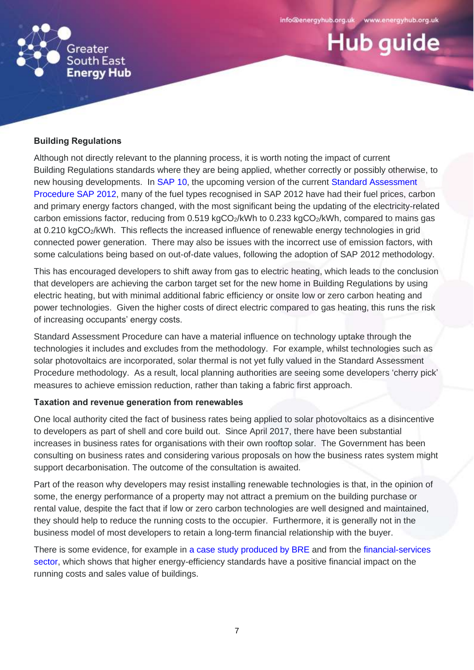**Hub quide** 



#### **Building Regulations**

Although not directly relevant to the planning process, it is worth noting the impact of current Building Regulations standards where they are being applied, whether correctly or possibly otherwise, to new housing developments. In [SAP 10,](https://www.bregroup.com/sap/sap10/) the upcoming version of the current Standard Assessment Procedure [SAP 2012,](https://www.gov.uk/guidance/standard-assessment-procedure) many of the fuel types recognised in SAP 2012 have had their fuel prices, carbon and primary energy factors changed, with the most significant being the updating of the electricity-related carbon emissions factor, reducing from 0.519 kgCO<sub>2</sub>/kWh to 0.233 kgCO<sub>2</sub>/kWh, compared to mains gas at 0.210 kgCO2/kWh. This reflects the increased influence of renewable energy technologies in grid connected power generation. There may also be issues with the incorrect use of emission factors, with some calculations being based on out-of-date values, following the adoption of SAP 2012 methodology.

This has encouraged developers to shift away from gas to electric heating, which leads to the conclusion that developers are achieving the carbon target set for the new home in Building Regulations by using electric heating, but with minimal additional fabric efficiency or onsite low or zero carbon heating and power technologies. Given the higher costs of direct electric compared to gas heating, this runs the risk of increasing occupants' energy costs.

Standard Assessment Procedure can have a material influence on technology uptake through the technologies it includes and excludes from the methodology. For example, whilst technologies such as solar photovoltaics are incorporated, solar thermal is not yet fully valued in the Standard Assessment Procedure methodology. As a result, local planning authorities are seeing some developers 'cherry pick' measures to achieve emission reduction, rather than taking a fabric first approach.

#### **Taxation and revenue generation from renewables**

One local authority cited the fact of business rates being applied to solar photovoltaics as a disincentive to developers as part of shell and core build out. Since April 2017, there have been substantial increases in business rates for organisations with their own rooftop solar. The Government has been consulting on business rates and considering various proposals on how the business rates system might support decarbonisation. The outcome of the consultation is awaited.

Part of the reason why developers may resist installing renewable technologies is that, in the opinion of some, the energy performance of a property may not attract a premium on the building purchase or rental value, despite the fact that if low or zero carbon technologies are well designed and maintained, they should help to reduce the running costs to the occupier. Furthermore, it is generally not in the business model of most developers to retain a long-term financial relationship with the buyer.

There is some evidence, for example in [a case study produced](https://www.breeam.com/resources/savings-payback/delivering-sustainable-buildings-savings-and-payback-office-case-study-for-breeam-uk-new-construction-2014/) by BRE and from the financial-services [sector,](https://www.moneysupermarket.com/gas-and-electricity/value-of-efficiency/) which shows that higher energy-efficiency standards have a positive financial impact on the running costs and sales value of buildings.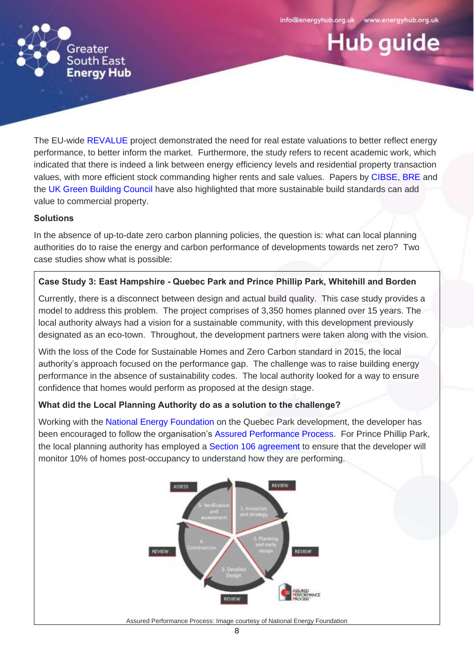**Hub guide** 



The EU-wide [REVALUE](https://revalue-project.eu/wp-content/uploads/2019/08/Final-Report-.pdf) project demonstrated the need for real estate valuations to better reflect energy performance, to better inform the market. Furthermore, the study refers to recent academic work, which indicated that there is indeed a link between energy efficiency levels and residential property transaction values, with more efficient stock commanding higher rents and sale values. Papers by [CIBSE,](https://www.cibse.org/knowledge/knowledge-items/detail?id=a0q3Y00000Hw3fvQAB) [BRE](https://files.bregroup.com/breeam/briefingpapers/BREEAM-Briefing-Paper----The-Value-of-BREEAM--November-2016----123864.pdf) and the [UK Green Building Council](https://www.breeam.com/wp-content/uploads/sites/3/2018/01/Capturing-the-Value-of-Sustainability.pdf) have also highlighted that more sustainable build standards can add value to commercial property.

#### **Solutions**

In the absence of up-to-date zero carbon planning policies, the question is: what can local planning authorities do to raise the energy and carbon performance of developments towards net zero? Two case studies show what is possible:

# **Case Study 3: East Hampshire - Quebec Park and Prince Phillip Park, Whitehill and Borden**

Currently, there is a disconnect between design and actual build quality. This case study provides a model to address this problem. The project comprises of 3,350 homes planned over 15 years. The local authority always had a vision for a sustainable community, with this development previously designated as an eco-town. Throughout, the development partners were taken along with the vision.

With the loss of the Code for Sustainable Homes and Zero Carbon standard in 2015, the local authority's approach focused on the performance gap. The challenge was to raise building energy performance in the absence of sustainability codes. The local authority looked for a way to ensure confidence that homes would perform as proposed at the design stage.

# **What did the Local Planning Authority do as a solution to the challenge?**

Working with the [National Energy Foundation](http://www.nef.org.uk/) on the Quebec Park development, the developer has been encouraged to follow the organisation's [Assured Performance Process.](http://www.nef.org.uk/service/search/result/assured-performance-process) For Prince Phillip Park, the local planning authority has employed a [Section 106 agreement](https://www.local.gov.uk/pas/pas-topics/infrastructure/s106-obligations-overview) to ensure that the developer will monitor 10% of homes post-occupancy to understand how they are performing.



Assured Performance Process: Image courtesy of National Energy Foundation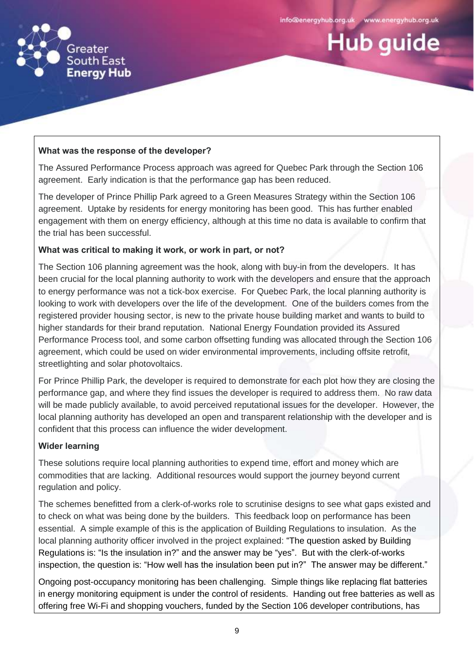

**Hub quide** 



#### **What was the response of the developer?**

The Assured Performance Process approach was agreed for Quebec Park through the Section 106 agreement. Early indication is that the performance gap has been reduced.

The developer of Prince Phillip Park agreed to a Green Measures Strategy within the Section 106 agreement. Uptake by residents for energy monitoring has been good. This has further enabled engagement with them on energy efficiency, although at this time no data is available to confirm that the trial has been successful.

#### **What was critical to making it work, or work in part, or not?**

The Section 106 planning agreement was the hook, along with buy-in from the developers. It has been crucial for the local planning authority to work with the developers and ensure that the approach to energy performance was not a tick-box exercise. For Quebec Park, the local planning authority is looking to work with developers over the life of the development. One of the builders comes from the registered provider housing sector, is new to the private house building market and wants to build to higher standards for their brand reputation. National Energy Foundation provided its Assured Performance Process tool, and some carbon offsetting funding was allocated through the Section 106 agreement, which could be used on wider environmental improvements, including offsite retrofit, streetlighting and solar photovoltaics.

For Prince Phillip Park, the developer is required to demonstrate for each plot how they are closing the performance gap, and where they find issues the developer is required to address them. No raw data will be made publicly available, to avoid perceived reputational issues for the developer. However, the local planning authority has developed an open and transparent relationship with the developer and is confident that this process can influence the wider development.

# **Wider learning**

These solutions require local planning authorities to expend time, effort and money which are commodities that are lacking. Additional resources would support the journey beyond current regulation and policy.

The schemes benefitted from a clerk-of-works role to scrutinise designs to see what gaps existed and to check on what was being done by the builders. This feedback loop on performance has been essential. A simple example of this is the application of Building Regulations to insulation. As the local planning authority officer involved in the project explained: "The question asked by Building Regulations is: "Is the insulation in?" and the answer may be "yes". But with the clerk-of-works inspection, the question is: "How well has the insulation been put in?" The answer may be different."

Ongoing post-occupancy monitoring has been challenging. Simple things like replacing flat batteries in energy monitoring equipment is under the control of residents. Handing out free batteries as well as offering free Wi-Fi and shopping vouchers, funded by the Section 106 developer contributions, has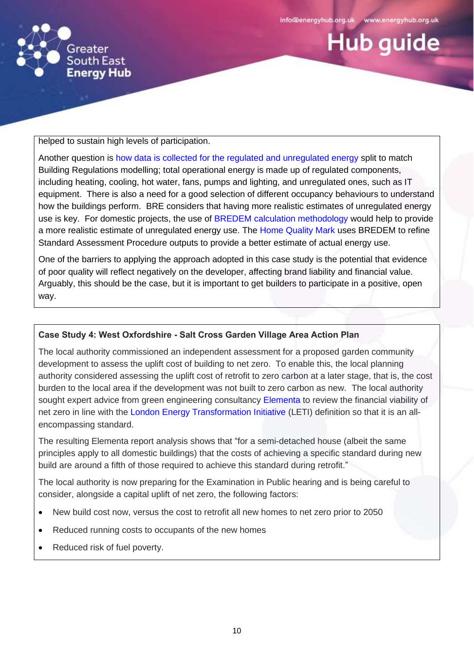

**Hub quide** 



helped to sustain high levels of participation.

Another question is how data is [collected for the regulated and unregulated energy](https://www.cibsejournal.com/opinion/unregulated-energy-why-we-should-care/) split to match Building Regulations modelling; total operational energy is made up of regulated components, including heating, cooling, hot water, fans, pumps and lighting, and unregulated ones, such as IT equipment. There is also a need for a good selection of different occupancy behaviours to understand how the buildings perform. BRE considers that having more realistic estimates of unregulated energy use is key. For domestic projects, the use of [BREDEM calculation methodology](https://www.bre.co.uk/page.jsp?id=3176) would help to provide a more realistic estimate of unregulated energy use. The [Home Quality Mark](https://www.homequalitymark.com/) uses BREDEM to refine Standard Assessment Procedure outputs to provide a better estimate of actual energy use.

One of the barriers to applying the approach adopted in this case study is the potential that evidence of poor quality will reflect negatively on the developer, affecting brand liability and financial value. Arguably, this should be the case, but it is important to get builders to participate in a positive, open way.

#### **Case Study 4: West Oxfordshire - Salt Cross Garden Village Area Action Plan**

The local authority commissioned an independent assessment for a proposed garden community development to assess the uplift cost of building to net zero. To enable this, the local planning authority considered assessing the uplift cost of retrofit to zero carbon at a later stage, that is, the cost burden to the local area if the development was not built to zero carbon as new. The local authority sought expert advice from green engineering consultancy [Elementa](https://www.elementaconsulting.com/about/) to review the financial viability of net zero in line with the [London Energy Transformation Initiative](https://www.leti.london/) (LETI) definition so that it is an allencompassing standard.

The resulting Elementa report analysis shows that "for a semi-detached house (albeit the same principles apply to all domestic buildings) that the costs of achieving a specific standard during new build are around a fifth of those required to achieve this standard during retrofit."

The local authority is now preparing for the Examination in Public hearing and is being careful to consider, alongside a capital uplift of net zero, the following factors:

- New build cost now, versus the cost to retrofit all new homes to net zero prior to 2050
- Reduced running costs to occupants of the new homes
- Reduced risk of fuel poverty.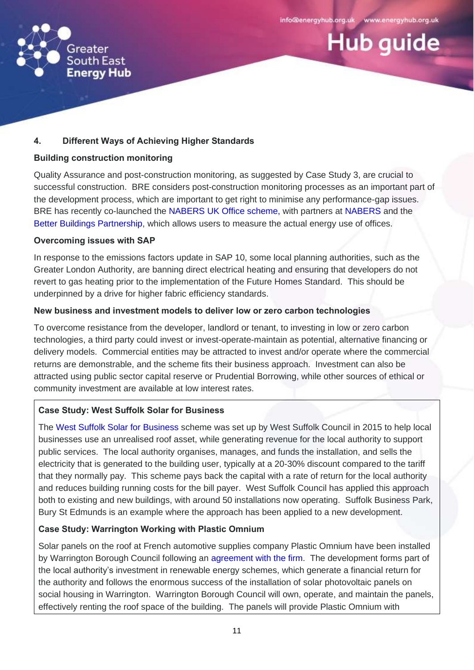**Hub quide** 



# **4. Different Ways of Achieving Higher Standards**

#### **Building construction monitoring**

Quality Assurance and post-construction monitoring, as suggested by Case Study 3, are crucial to successful construction. BRE considers post-construction monitoring processes as an important part of the development process, which are important to get right to minimise any performance-gap issues. BRE has recently co-launched the [NABERS UK Office scheme,](https://www.bregroup.com/nabers-uk/) with partners at [NABERS](https://www.nabers.gov.au/) and the [Better Buildings Partnership,](https://www.betterbuildingspartnership.co.uk/) which allows users to measure the actual energy use of offices.

#### **Overcoming issues with SAP**

In response to the emissions factors update in SAP 10, some local planning authorities, such as the Greater London Authority, are banning direct electrical heating and ensuring that developers do not revert to gas heating prior to the implementation of the Future Homes Standard. This should be underpinned by a drive for higher fabric efficiency standards.

# **New business and investment models to deliver low or zero carbon technologies**

To overcome resistance from the developer, landlord or tenant, to investing in low or zero carbon technologies, a third party could invest or invest-operate-maintain as potential, alternative financing or delivery models. Commercial entities may be attracted to invest and/or operate where the commercial returns are demonstrable, and the scheme fits their business approach. Investment can also be attracted using public sector capital reserve or Prudential Borrowing, while other sources of ethical or community investment are available at low interest rates.

# **Case Study: West Suffolk Solar for Business**

The [West Suffolk Solar for Business](https://www.westsuffolk.gov.uk/Business/Start_and_Grow_Your_Business/upload/WSC-Solar-for-business-leaflet.pdf) scheme was set up by West Suffolk Council in 2015 to help local businesses use an unrealised roof asset, while generating revenue for the local authority to support public services. The local authority organises, manages, and funds the installation, and sells the electricity that is generated to the building user, typically at a 20-30% discount compared to the tariff that they normally pay. This scheme pays back the capital with a rate of return for the local authority and reduces building running costs for the bill payer. West Suffolk Council has applied this approach both to existing and new buildings, with around 50 installations now operating. Suffolk Business Park, Bury St Edmunds is an example where the approach has been applied to a new development.

# **Case Study: Warrington Working with Plastic Omnium**

Solar panels on the roof at French automotive supplies company Plastic Omnium have been installed by Warrington Borough Council following an [agreement with the firm.](https://www.warrington-worldwide.co.uk/2019/06/15/new-council-investment-in-renewable-energy-at-omega/) The development forms part of the local authority's investment in renewable energy schemes, which generate a financial return for the authority and follows the enormous success of the installation of solar photovoltaic panels on social housing in Warrington. Warrington Borough Council will own, operate, and maintain the panels, effectively renting the roof space of the building. The panels will provide Plastic Omnium with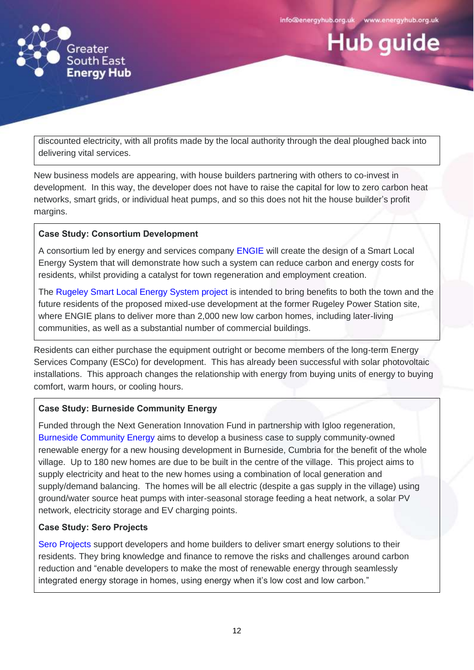**Hub guide** 



discounted electricity, with all profits made by the local authority through the deal ploughed back into delivering vital services.

New business models are appearing, with house builders partnering with others to co-invest in development. In this way, the developer does not have to raise the capital for low to zero carbon heat networks, smart grids, or individual heat pumps, and so this does not hit the house builder's profit margins.

# **Case Study: Consortium Development**

A consortium led by energy and services company [ENGIE](https://www.engie.co.uk/about-engie/) will create the design of a Smart Local Energy System that will demonstrate how such a system can reduce carbon and energy costs for residents, whilst providing a catalyst for town regeneration and employment creation.

The Rugeley [Smart Local Energy System project](https://www.engie.co.uk/about-engie/news/engie-led-consortium-to-develop-a-zero-carbon-smart-local-energy-system-for-rugeley-town/) is intended to bring benefits to both the town and the future residents of the proposed mixed-use development at the former Rugeley Power Station site, where ENGIE plans to deliver more than 2,000 new low carbon homes, including later-living communities, as well as a substantial number of commercial buildings.

Residents can either purchase the equipment outright or become members of the long-term Energy Services Company (ESCo) for development. This has already been successful with solar photovoltaic installations. This approach changes the relationship with energy from buying units of energy to buying comfort, warm hours, or cooling hours.

# **Case Study: Burneside Community Energy**

Funded through the Next Generation Innovation Fund in partnership with Igloo regeneration, [Burneside Community Energy](https://www.next-generation.org.uk/innovation) aims to develop a business case to supply community-owned renewable energy for a new housing development in Burneside, Cumbria for the benefit of the whole village. Up to 180 new homes are due to be built in the centre of the village. This project aims to supply electricity and heat to the new homes using a combination of local generation and supply/demand balancing. The homes will be all electric (despite a gas supply in the village) using ground/water source heat pumps with inter-seasonal storage feeding a heat network, a solar PV network, electricity storage and EV charging points.

# **Case Study: Sero Projects**

[Sero Projects](https://www.seroprojects.com/) support developers and home builders to deliver smart energy solutions to their residents. They bring knowledge and finance to remove the risks and challenges around carbon reduction and "enable developers to make the most of renewable energy through seamlessly integrated energy storage in homes, using energy when it's low cost and low carbon."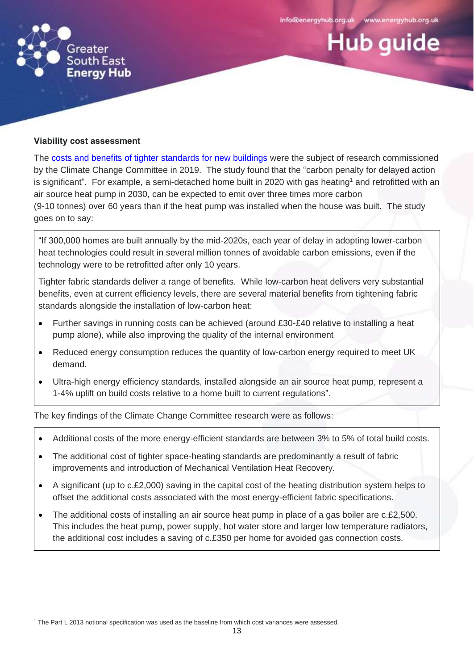**Hub guide** 



#### **Viability cost assessment**

The [costs and benefits of tighter standards for new buildings](https://www.theccc.org.uk/publication/the-costs-and-benefits-of-tighter-standards-for-new-buildings-currie-brown-and-aecom/) were the subject of research commissioned by the Climate Change Committee in 2019. The study found that the "carbon penalty for delayed action is significant". For example, a semi-detached home built in 2020 with gas heating<sup>1</sup> and retrofitted with an air source heat pump in 2030, can be expected to emit over three times more carbon (9-10 tonnes) over 60 years than if the heat pump was installed when the house was built. The study goes on to say:

"If 300,000 homes are built annually by the mid-2020s, each year of delay in adopting lower-carbon heat technologies could result in several million tonnes of avoidable carbon emissions, even if the technology were to be retrofitted after only 10 years.

Tighter fabric standards deliver a range of benefits. While low-carbon heat delivers very substantial benefits, even at current efficiency levels, there are several material benefits from tightening fabric standards alongside the installation of low-carbon heat:

- Further savings in running costs can be achieved (around £30-£40 relative to installing a heat pump alone), while also improving the quality of the internal environment
- Reduced energy consumption reduces the quantity of low-carbon energy required to meet UK demand.
- Ultra-high energy efficiency standards, installed alongside an air source heat pump, represent a 1-4% uplift on build costs relative to a home built to current regulations".

The key findings of the Climate Change Committee research were as follows:

- Additional costs of the more energy-efficient standards are between 3% to 5% of total build costs.
- The additional cost of tighter space-heating standards are predominantly a result of fabric improvements and introduction of Mechanical Ventilation Heat Recovery.
- A significant (up to c.£2,000) saving in the capital cost of the heating distribution system helps to offset the additional costs associated with the most energy-efficient fabric specifications.
- The additional costs of installing an air source heat pump in place of a gas boiler are c.£2,500. This includes the heat pump, power supply, hot water store and larger low temperature radiators, the additional cost includes a saving of c.£350 per home for avoided gas connection costs.

<sup>1</sup> The Part L 2013 notional specification was used as the baseline from which cost variances were assessed.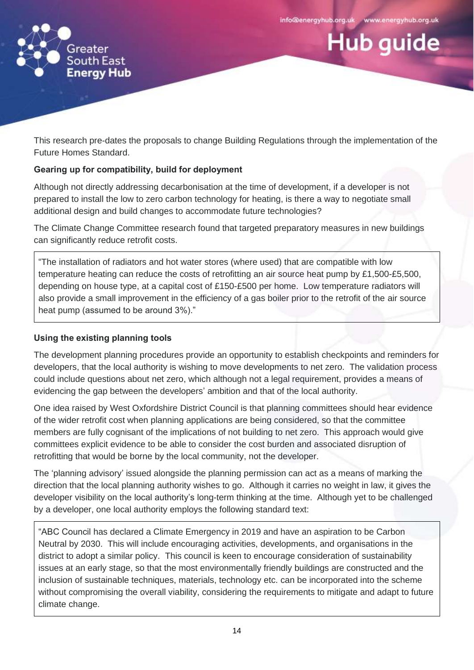**Hub quide** 



This research pre-dates the proposals to change Building Regulations through the implementation of the Future Homes Standard.

# **Gearing up for compatibility, build for deployment**

Although not directly addressing decarbonisation at the time of development, if a developer is not prepared to install the low to zero carbon technology for heating, is there a way to negotiate small additional design and build changes to accommodate future technologies?

The Climate Change Committee research found that targeted preparatory measures in new buildings can significantly reduce retrofit costs.

"The installation of radiators and hot water stores (where used) that are compatible with low temperature heating can reduce the costs of retrofitting an air source heat pump by £1,500-£5,500, depending on house type, at a capital cost of £150-£500 per home. Low temperature radiators will also provide a small improvement in the efficiency of a gas boiler prior to the retrofit of the air source heat pump (assumed to be around 3%)."

# **Using the existing planning tools**

The development planning procedures provide an opportunity to establish checkpoints and reminders for developers, that the local authority is wishing to move developments to net zero. The validation process could include questions about net zero, which although not a legal requirement, provides a means of evidencing the gap between the developers' ambition and that of the local authority.

One idea raised by West Oxfordshire District Council is that planning committees should hear evidence of the wider retrofit cost when planning applications are being considered, so that the committee members are fully cognisant of the implications of not building to net zero. This approach would give committees explicit evidence to be able to consider the cost burden and associated disruption of retrofitting that would be borne by the local community, not the developer.

The 'planning advisory' issued alongside the planning permission can act as a means of marking the direction that the local planning authority wishes to go. Although it carries no weight in law, it gives the developer visibility on the local authority's long-term thinking at the time. Although yet to be challenged by a developer, one local authority employs the following standard text:

"ABC Council has declared a Climate Emergency in 2019 and have an aspiration to be Carbon Neutral by 2030. This will include encouraging activities, developments, and organisations in the district to adopt a similar policy. This council is keen to encourage consideration of sustainability issues at an early stage, so that the most environmentally friendly buildings are constructed and the inclusion of sustainable techniques, materials, technology etc. can be incorporated into the scheme without compromising the overall viability, considering the requirements to mitigate and adapt to future climate change.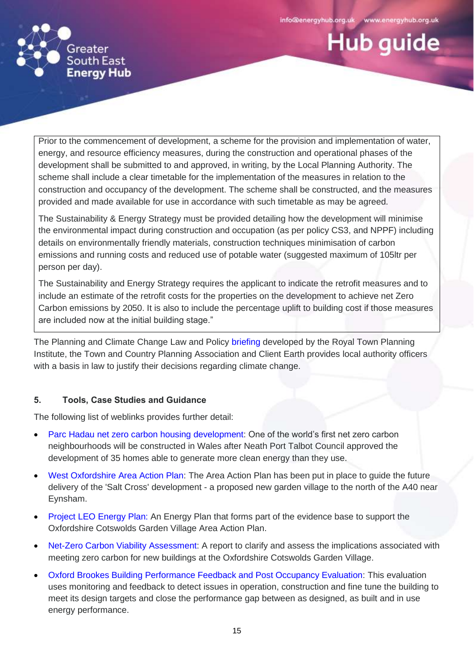**Hub guide** 



Prior to the commencement of development, a scheme for the provision and implementation of water, energy, and resource efficiency measures, during the construction and operational phases of the development shall be submitted to and approved, in writing, by the Local Planning Authority. The scheme shall include a clear timetable for the implementation of the measures in relation to the construction and occupancy of the development. The scheme shall be constructed, and the measures provided and made available for use in accordance with such timetable as may be agreed.

The Sustainability & Energy Strategy must be provided detailing how the development will minimise the environmental impact during construction and occupation (as per policy CS3, and NPPF) including details on environmentally friendly materials, construction techniques minimisation of carbon emissions and running costs and reduced use of potable water (suggested maximum of 105ltr per person per day).

The Sustainability and Energy Strategy requires the applicant to indicate the retrofit measures and to include an estimate of the retrofit costs for the properties on the development to achieve net Zero Carbon emissions by 2050. It is also to include the percentage uplift to building cost if those measures are included now at the initial building stage."

The Planning and Climate Change Law and Policy [briefing](https://www.tcpa.org.uk/Handlers/Download.ashx?IDMF=4927d472-a9f0-4281-a6af-463ddc642201) developed by the Royal Town Planning Institute, the Town and Country Planning Association and Client Earth provides local authority officers with a basis in law to justify their decisions regarding climate change.

# **5. Tools, Case Studies and Guidance**

The following list of weblinks provides further detail:

- [Parc Hadau net zero carbon housing development:](https://www.theguardian.com/environment/2019/dec/23/net-zero-carbon-neighbourhood-to-be-built-in-south-wales) One of the world's first net zero carbon neighbourhoods will be constructed in Wales after Neath Port Talbot Council approved the development of 35 homes able to generate more clean energy than they use.
- West [Oxfordshire Area Action Plan:](https://planningconsultation.westoxon.gov.uk/consult.ti/OCGVAAP19/viewCompoundDoc?docid=11861044&sessionid=&voteid=&partId=11861396) The Area Action Plan has been put in place to guide the future delivery of the 'Salt Cross' development - a proposed new garden village to the north of the A40 near Eynsham.
- [Project LEO Energy Plan:](https://www.westoxon.gov.uk/media/ekpcnzzl/oxfordshire-cotswold-garden-village-energy-plan.pdf) An Energy Plan that forms part of the evidence base to support the Oxfordshire Cotswolds Garden Village Area Action Plan.
- [Net-Zero Carbon Viability Assessment:](https://www.westoxon.gov.uk/media/hdnjcnnf/trajectory-for-net-zero-buildings-for-the-oxfordshire-garden-village.pdf) A report to clarify and assess the implications associated with meeting zero carbon for new buildings at the Oxfordshire Cotswolds Garden Village.
- [Oxford Brookes Building Performance Feedback and Post Occupancy Evaluation:](https://www.brookes.ac.uk/architecture/research/low-carbon-building-group/building-performance-evaluation/) This evaluation uses monitoring and feedback to detect issues in operation, construction and fine tune the building to meet its design targets and close the performance gap between as designed, as built and in use energy performance.